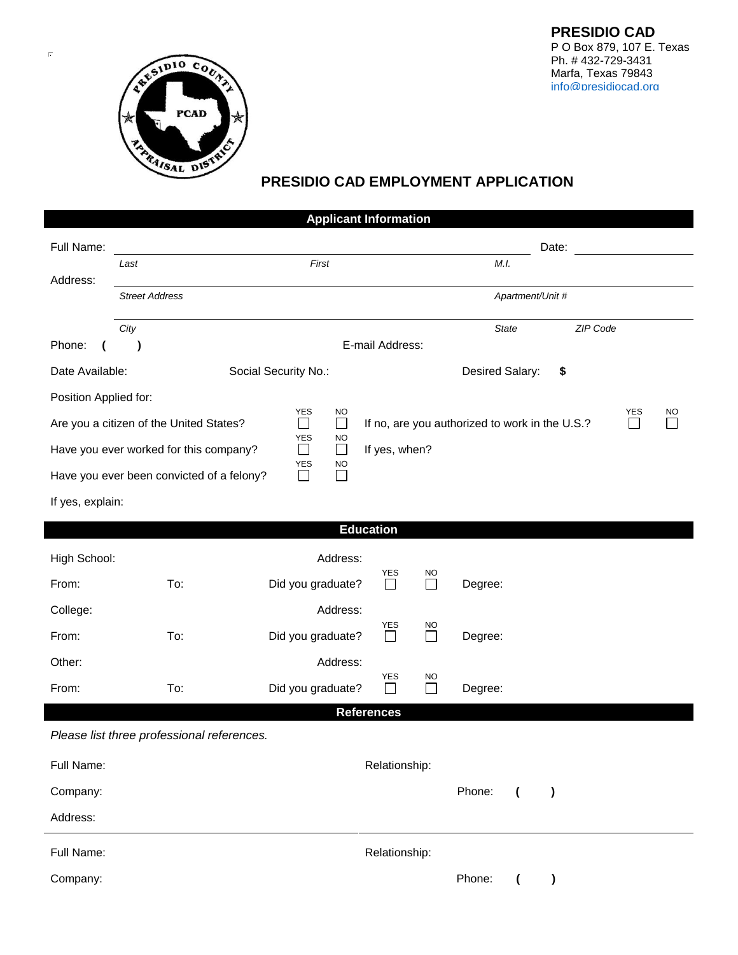

 $\overline{\overline{\alpha}}$ 

## **PRESIDIO CAD EMPLOYMENT APPLICATION**

| <b>Applicant Information</b>                                                             |                                            |                                             |                                                |                                    |           |          |            |  |  |  |  |  |
|------------------------------------------------------------------------------------------|--------------------------------------------|---------------------------------------------|------------------------------------------------|------------------------------------|-----------|----------|------------|--|--|--|--|--|
| Full Name:                                                                               |                                            |                                             |                                                |                                    | Date:     |          |            |  |  |  |  |  |
|                                                                                          | First<br>Last                              |                                             |                                                | M.I.                               |           |          |            |  |  |  |  |  |
| Address:                                                                                 | <b>Street Address</b>                      | Apartment/Unit #                            |                                                |                                    |           |          |            |  |  |  |  |  |
|                                                                                          | City                                       |                                             |                                                | <b>State</b>                       |           | ZIP Code |            |  |  |  |  |  |
| Phone:                                                                                   | )                                          |                                             | E-mail Address:                                |                                    |           |          |            |  |  |  |  |  |
| Date Available:                                                                          |                                            | Social Security No.:                        |                                                | Desired Salary:                    | \$        |          |            |  |  |  |  |  |
| Position Applied for:                                                                    |                                            |                                             |                                                |                                    |           |          |            |  |  |  |  |  |
|                                                                                          | Are you a citizen of the United States?    | YES<br><b>NO</b><br>$\Box$<br>$\Box$        | If no, are you authorized to work in the U.S.? |                                    |           |          | YES<br>NO. |  |  |  |  |  |
|                                                                                          | Have you ever worked for this company?     | <b>YES</b><br><b>NO</b><br>$\Box$<br>$\Box$ | If yes, when?                                  |                                    |           |          |            |  |  |  |  |  |
| <b>YES</b><br><b>NO</b><br>Have you ever been convicted of a felony?<br>$\Box$<br>$\Box$ |                                            |                                             |                                                |                                    |           |          |            |  |  |  |  |  |
| If yes, explain:                                                                         |                                            |                                             |                                                |                                    |           |          |            |  |  |  |  |  |
| <b>Education</b>                                                                         |                                            |                                             |                                                |                                    |           |          |            |  |  |  |  |  |
| High School:                                                                             |                                            | Address:                                    |                                                |                                    |           |          |            |  |  |  |  |  |
|                                                                                          | To:                                        |                                             | <b>YES</b><br>NO<br>П                          |                                    |           |          |            |  |  |  |  |  |
| From:                                                                                    |                                            | Did you graduate?                           | $\Box$                                         | Degree:                            |           |          |            |  |  |  |  |  |
| College:                                                                                 |                                            | Address:                                    | <b>YES</b><br>NO                               |                                    |           |          |            |  |  |  |  |  |
| From:                                                                                    | To:                                        | Did you graduate?                           | П<br>$\Box$                                    | Degree:                            |           |          |            |  |  |  |  |  |
| Other:                                                                                   |                                            | Address:                                    | YES<br>NO                                      |                                    |           |          |            |  |  |  |  |  |
| From:                                                                                    | To:                                        | Did you graduate?                           | $\Box$<br>$\Box$                               | Degree:                            |           |          |            |  |  |  |  |  |
|                                                                                          | Please list three professional references. | <b>References</b>                           |                                                |                                    |           |          |            |  |  |  |  |  |
| Full Name:                                                                               |                                            |                                             | Relationship:                                  |                                    |           |          |            |  |  |  |  |  |
| Company:                                                                                 |                                            |                                             |                                                | Phone:<br>$\overline{ }$           | $\lambda$ |          |            |  |  |  |  |  |
| Address:                                                                                 |                                            |                                             |                                                |                                    |           |          |            |  |  |  |  |  |
| Full Name:                                                                               |                                            |                                             | Relationship:                                  |                                    |           |          |            |  |  |  |  |  |
| Company:                                                                                 |                                            |                                             |                                                | Phone:<br>$\overline{\mathcal{L}}$ | )         |          |            |  |  |  |  |  |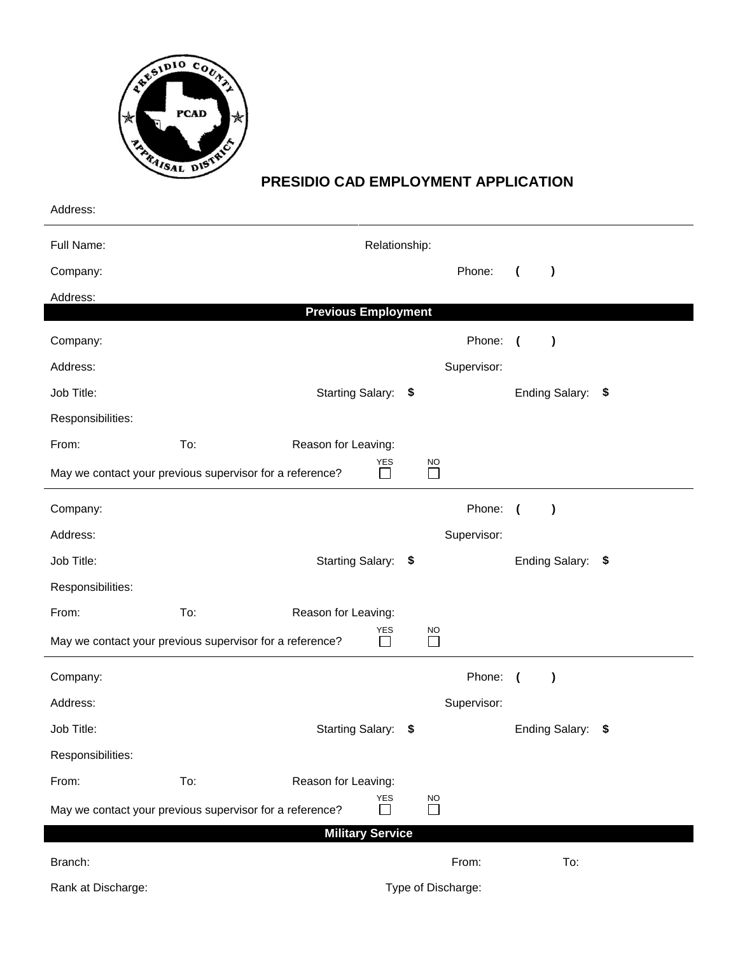

## **PRESIDIO CAD EMPLOYMENT APPLICATION**

| Address:                                                                                                                           |     |                            |  |                     |             |                |                   |  |
|------------------------------------------------------------------------------------------------------------------------------------|-----|----------------------------|--|---------------------|-------------|----------------|-------------------|--|
| Full Name:                                                                                                                         |     | Relationship:              |  |                     |             |                |                   |  |
| Company:                                                                                                                           |     |                            |  |                     | Phone:      | $\overline{ }$ | $\lambda$         |  |
| Address:                                                                                                                           |     |                            |  |                     |             |                |                   |  |
|                                                                                                                                    |     | <b>Previous Employment</b> |  |                     |             |                |                   |  |
| Company:                                                                                                                           |     |                            |  |                     | Phone: (    |                | $\lambda$         |  |
| Address:                                                                                                                           |     |                            |  |                     | Supervisor: |                |                   |  |
| Job Title:                                                                                                                         |     | Starting Salary: \$        |  |                     |             |                | Ending Salary: \$ |  |
| Responsibilities:                                                                                                                  |     |                            |  |                     |             |                |                   |  |
| From:                                                                                                                              | To: | Reason for Leaving:        |  |                     |             |                |                   |  |
| May we contact your previous supervisor for a reference?                                                                           |     | YES<br>$\vert \ \ \vert$   |  | <b>NO</b><br>$\Box$ |             |                |                   |  |
| Company:                                                                                                                           |     |                            |  |                     | Phone: (    |                | $\lambda$         |  |
| Address:                                                                                                                           |     |                            |  |                     | Supervisor: |                |                   |  |
| Job Title:                                                                                                                         |     | Starting Salary: \$        |  |                     |             |                | Ending Salary: \$ |  |
| Responsibilities:                                                                                                                  |     |                            |  |                     |             |                |                   |  |
| From:                                                                                                                              | To: | Reason for Leaving:        |  |                     |             |                |                   |  |
| May we contact your previous supervisor for a reference?                                                                           |     | YES<br>$\Box$              |  | <b>NO</b><br>$\Box$ |             |                |                   |  |
| Company:                                                                                                                           |     |                            |  |                     | Phone: (    |                | $\lambda$         |  |
| Address:                                                                                                                           |     |                            |  |                     | Supervisor: |                |                   |  |
| Job Title:                                                                                                                         |     | Starting Salary: \$        |  |                     |             |                | Ending Salary: \$ |  |
| Responsibilities:                                                                                                                  |     |                            |  |                     |             |                |                   |  |
| From:                                                                                                                              | To: | Reason for Leaving:        |  |                     |             |                |                   |  |
| YES<br>$\underline{NO}$<br>$\Box$<br>May we contact your previous supervisor for a reference?<br>$\Box$<br><b>Military Service</b> |     |                            |  |                     |             |                |                   |  |
| Branch:                                                                                                                            |     |                            |  |                     | From:       |                | To:               |  |

Rank at Discharge: Type of Discharge: Type of Discharge: